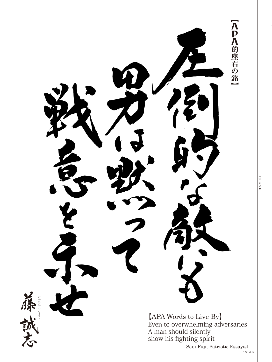